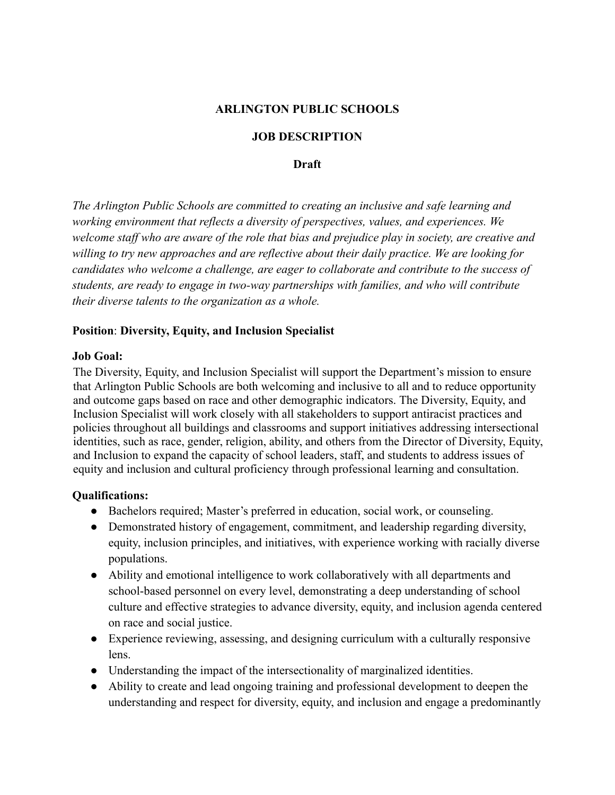## **ARLINGTON PUBLIC SCHOOLS**

### **JOB DESCRIPTION**

**Draft**

*The Arlington Public Schools are committed to creating an inclusive and safe learning and working environment that reflects a diversity of perspectives, values, and experiences. We welcome staff who are aware of the role that bias and prejudice play in society, are creative and willing to try new approaches and are reflective about their daily practice. We are looking for candidates who welcome a challenge, are eager to collaborate and contribute to the success of students, are ready to engage in two-way partnerships with families, and who will contribute their diverse talents to the organization as a whole.*

#### **Position**: **Diversity, Equity, and Inclusion Specialist**

#### **Job Goal:**

The Diversity, Equity, and Inclusion Specialist will support the Department's mission to ensure that Arlington Public Schools are both welcoming and inclusive to all and to reduce opportunity and outcome gaps based on race and other demographic indicators. The Diversity, Equity, and Inclusion Specialist will work closely with all stakeholders to support antiracist practices and policies throughout all buildings and classrooms and support initiatives addressing intersectional identities, such as race, gender, religion, ability, and others from the Director of Diversity, Equity, and Inclusion to expand the capacity of school leaders, staff, and students to address issues of equity and inclusion and cultural proficiency through professional learning and consultation.

#### **Qualifications:**

- Bachelors required; Master's preferred in education, social work, or counseling.
- Demonstrated history of engagement, commitment, and leadership regarding diversity, equity, inclusion principles, and initiatives, with experience working with racially diverse populations.
- Ability and emotional intelligence to work collaboratively with all departments and school-based personnel on every level, demonstrating a deep understanding of school culture and effective strategies to advance diversity, equity, and inclusion agenda centered on race and social justice.
- Experience reviewing, assessing, and designing curriculum with a culturally responsive lens.
- **●** Understanding the impact of the intersectionality of marginalized identities.
- Ability to create and lead ongoing training and professional development to deepen the understanding and respect for diversity, equity, and inclusion and engage a predominantly